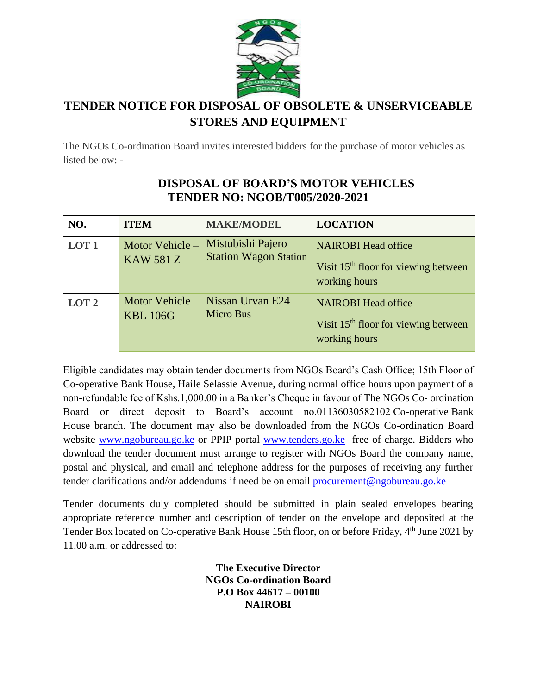

## **TENDER NOTICE FOR DISPOSAL OF OBSOLETE & UNSERVICEABLE STORES AND EQUIPMENT**

The NGOs Co-ordination Board invites interested bidders for the purchase of motor vehicles as listed below: -

| NO.              | <b>ITEM</b>                             | <b>MAKE/MODEL</b>                                 | <b>LOCATION</b>                                                                                 |
|------------------|-----------------------------------------|---------------------------------------------------|-------------------------------------------------------------------------------------------------|
| LOT <sub>1</sub> | Motor Vehicle-<br><b>KAW 581 Z</b>      | Mistubishi Pajero<br><b>Station Wagon Station</b> | <b>NAIROBI Head office</b><br>Visit 15 <sup>th</sup> floor for viewing between<br>working hours |
| LOT <sub>2</sub> | <b>Motor Vehicle</b><br><b>KBL 106G</b> | Nissan Urvan E24<br>Micro Bus                     | <b>NAIROBI Head office</b><br>Visit 15 <sup>th</sup> floor for viewing between<br>working hours |

## **DISPOSAL OF BOARD'S MOTOR VEHICLES TENDER NO: NGOB/T005/2020-2021**

Eligible candidates may obtain tender documents from NGOs Board's Cash Office; 15th Floor of Co-operative Bank House, Haile Selassie Avenue, during normal office hours upon payment of a non-refundable fee of Kshs.1,000.00 in a Banker's Cheque in favour of The NGOs Co- ordination Board or direct deposit to Board's account no.01136030582102 Co-operative Bank House branch. The document may also be downloaded from the NGOs Co-ordination Board website [www.ngobureau.go.ke](http://www.ngobureau.go.ke/) or PPIP portal [www.tenders.go.ke](http://www.tenders.go.ke/) free of charge. Bidders who download the tender document must arrange to register with NGOs Board the company name, postal and physical, and email and telephone address for the purposes of receiving any further tender clarifications and/or addendums if need be on email [procurement@ngobureau.go.ke](mailto:procurement@ngobureau.go.ke)

Tender documents duly completed should be submitted in plain sealed envelopes bearing appropriate reference number and description of tender on the envelope and deposited at the Tender Box located on Co-operative Bank House 15th floor, on or before Friday, 4<sup>th</sup> June 2021 by 11.00 a.m. or addressed to:

> **The Executive Director NGOs Co-ordination Board P.O Box 44617 – 00100 NAIROBI**